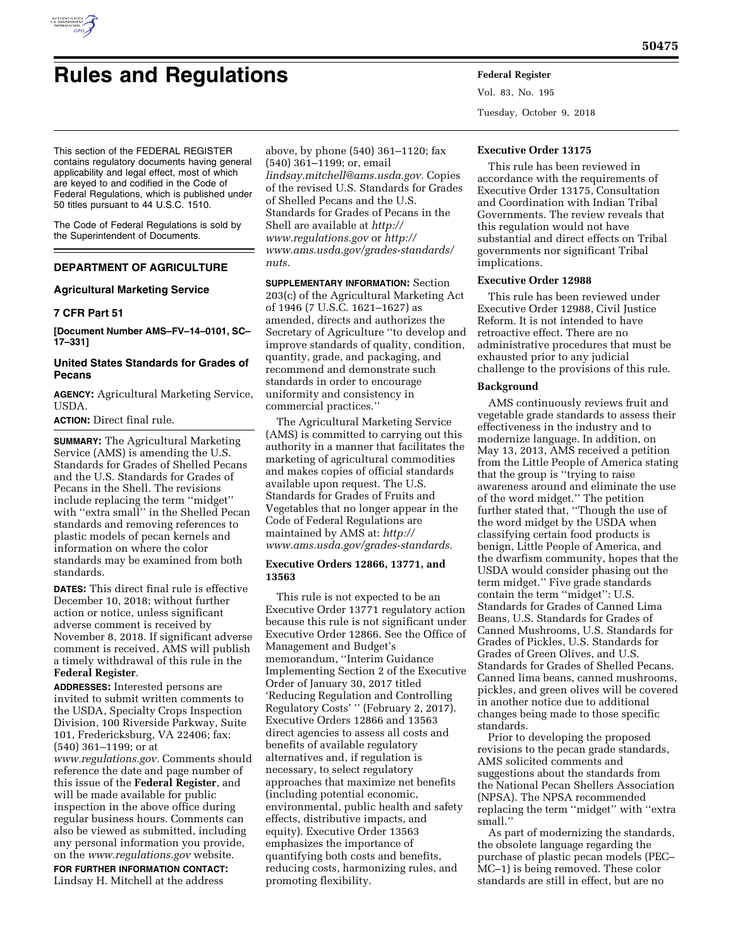

# **Rules and Regulations Federal Register**

Vol. 83, No. 195 Tuesday, October 9, 2018

This section of the FEDERAL REGISTER contains regulatory documents having general applicability and legal effect, most of which are keyed to and codified in the Code of Federal Regulations, which is published under 50 titles pursuant to 44 U.S.C. 1510.

The Code of Federal Regulations is sold by the Superintendent of Documents.

# **DEPARTMENT OF AGRICULTURE**

## **Agricultural Marketing Service**

## **7 CFR Part 51**

**[Document Number AMS–FV–14–0101, SC– 17–331]** 

# **United States Standards for Grades of Pecans**

**AGENCY:** Agricultural Marketing Service, USDA.

**ACTION:** Direct final rule.

**SUMMARY:** The Agricultural Marketing Service (AMS) is amending the U.S. Standards for Grades of Shelled Pecans and the U.S. Standards for Grades of Pecans in the Shell. The revisions include replacing the term ''midget'' with ''extra small'' in the Shelled Pecan standards and removing references to plastic models of pecan kernels and information on where the color standards may be examined from both standards.

**DATES:** This direct final rule is effective December 10, 2018; without further action or notice, unless significant adverse comment is received by November 8, 2018. If significant adverse comment is received, AMS will publish a timely withdrawal of this rule in the **Federal Register**.

**ADDRESSES:** Interested persons are invited to submit written comments to the USDA, Specialty Crops Inspection Division, 100 Riverside Parkway, Suite 101, Fredericksburg, VA 22406; fax: (540) 361–1199; or at *[www.regulations.gov.](http://www.regulations.gov)* Comments should reference the date and page number of this issue of the **Federal Register**, and will be made available for public inspection in the above office during regular business hours. Comments can also be viewed as submitted, including any personal information you provide, on the *[www.regulations.gov](http://www.regulations.gov)* website.

**FOR FURTHER INFORMATION CONTACT:**  Lindsay H. Mitchell at the address

above, by phone (540) 361–1120; fax (540) 361–1199; or, email *[lindsay.mitchell@ams.usda.gov.](mailto:lindsay.mitchell@ams.usda.gov)* Copies of the revised U.S. Standards for Grades of Shelled Pecans and the U.S. Standards for Grades of Pecans in the Shell are available at *[http://](http://www.regulations.gov) [www.regulations.gov](http://www.regulations.gov)* or *[http://](http://www.ams.usda.gov/grades-standards/nuts) [www.ams.usda.gov/grades-standards/](http://www.ams.usda.gov/grades-standards/nuts) [nuts.](http://www.ams.usda.gov/grades-standards/nuts)* 

**SUPPLEMENTARY INFORMATION:** Section 203(c) of the Agricultural Marketing Act of 1946 (7 U.S.C. 1621–1627) as amended, directs and authorizes the Secretary of Agriculture ''to develop and improve standards of quality, condition, quantity, grade, and packaging, and recommend and demonstrate such standards in order to encourage uniformity and consistency in commercial practices.''

The Agricultural Marketing Service (AMS) is committed to carrying out this authority in a manner that facilitates the marketing of agricultural commodities and makes copies of official standards available upon request. The U.S. Standards for Grades of Fruits and Vegetables that no longer appear in the Code of Federal Regulations are maintained by AMS at: *[http://](http://www.ams.usda.gov/grades-standards) [www.ams.usda.gov/grades-standards.](http://www.ams.usda.gov/grades-standards)* 

## **Executive Orders 12866, 13771, and 13563**

This rule is not expected to be an Executive Order 13771 regulatory action because this rule is not significant under Executive Order 12866. See the Office of Management and Budget's memorandum, ''Interim Guidance Implementing Section 2 of the Executive Order of January 30, 2017 titled 'Reducing Regulation and Controlling Regulatory Costs' '' (February 2, 2017). Executive Orders 12866 and 13563 direct agencies to assess all costs and benefits of available regulatory alternatives and, if regulation is necessary, to select regulatory approaches that maximize net benefits (including potential economic, environmental, public health and safety effects, distributive impacts, and equity). Executive Order 13563 emphasizes the importance of quantifying both costs and benefits, reducing costs, harmonizing rules, and promoting flexibility.

## **Executive Order 13175**

This rule has been reviewed in accordance with the requirements of Executive Order 13175, Consultation and Coordination with Indian Tribal Governments. The review reveals that this regulation would not have substantial and direct effects on Tribal governments nor significant Tribal implications.

## **Executive Order 12988**

This rule has been reviewed under Executive Order 12988, Civil Justice Reform. It is not intended to have retroactive effect. There are no administrative procedures that must be exhausted prior to any judicial challenge to the provisions of this rule.

#### **Background**

AMS continuously reviews fruit and vegetable grade standards to assess their effectiveness in the industry and to modernize language. In addition, on May 13, 2013, AMS received a petition from the Little People of America stating that the group is ''trying to raise awareness around and eliminate the use of the word midget.'' The petition further stated that, ''Though the use of the word midget by the USDA when classifying certain food products is benign, Little People of America, and the dwarfism community, hopes that the USDA would consider phasing out the term midget.'' Five grade standards contain the term ''midget'': U.S. Standards for Grades of Canned Lima Beans, U.S. Standards for Grades of Canned Mushrooms, U.S. Standards for Grades of Pickles, U.S. Standards for Grades of Green Olives, and U.S. Standards for Grades of Shelled Pecans. Canned lima beans, canned mushrooms, pickles, and green olives will be covered in another notice due to additional changes being made to those specific standards.

Prior to developing the proposed revisions to the pecan grade standards, AMS solicited comments and suggestions about the standards from the National Pecan Shellers Association (NPSA). The NPSA recommended replacing the term ''midget'' with ''extra small.''

As part of modernizing the standards, the obsolete language regarding the purchase of plastic pecan models (PEC– MC–1) is being removed. These color standards are still in effect, but are no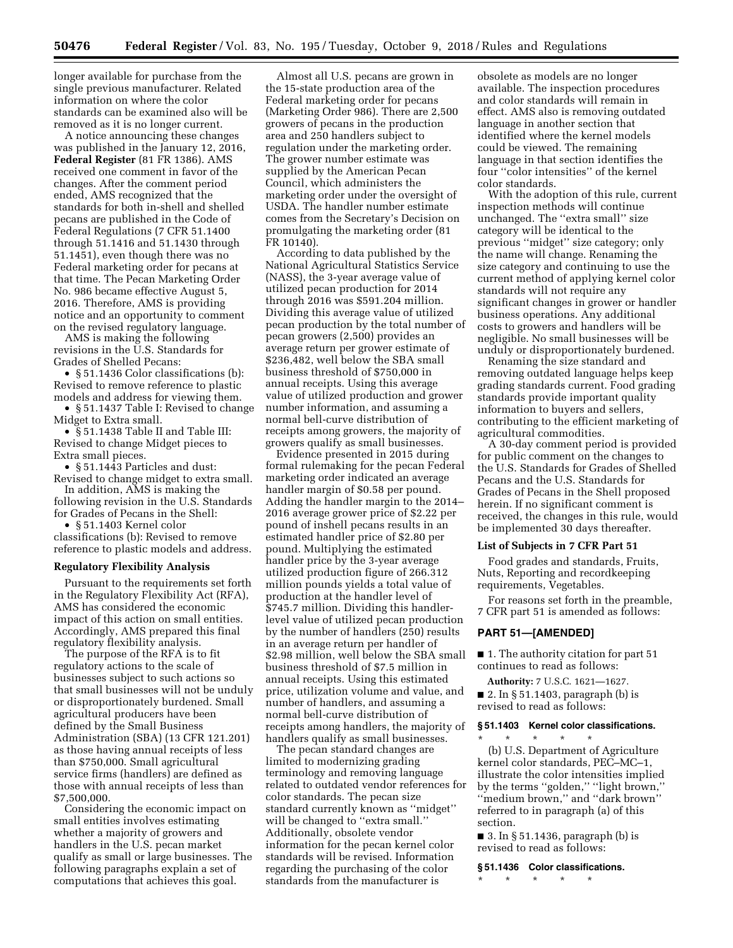longer available for purchase from the single previous manufacturer. Related information on where the color standards can be examined also will be removed as it is no longer current.

A notice announcing these changes was published in the January 12, 2016, **Federal Register** (81 FR 1386). AMS received one comment in favor of the changes. After the comment period ended, AMS recognized that the standards for both in-shell and shelled pecans are published in the Code of Federal Regulations (7 CFR 51.1400 through 51.1416 and 51.1430 through 51.1451), even though there was no Federal marketing order for pecans at that time. The Pecan Marketing Order No. 986 became effective August 5, 2016. Therefore, AMS is providing notice and an opportunity to comment on the revised regulatory language.

AMS is making the following revisions in the U.S. Standards for Grades of Shelled Pecans:

• § 51.1436 Color classifications (b): Revised to remove reference to plastic models and address for viewing them.

• § 51.1437 Table I: Revised to change Midget to Extra small.

• § 51.1438 Table II and Table III: Revised to change Midget pieces to Extra small pieces.

• § 51.1443 Particles and dust: Revised to change midget to extra small.

In addition, AMS is making the following revision in the U.S. Standards for Grades of Pecans in the Shell:

reference to plastic models and address.

• § 51.1403 Kernel color classifications (b): Revised to remove

## **Regulatory Flexibility Analysis**

Pursuant to the requirements set forth in the Regulatory Flexibility Act (RFA), AMS has considered the economic impact of this action on small entities. Accordingly, AMS prepared this final regulatory flexibility analysis.

The purpose of the RFA is to fit regulatory actions to the scale of businesses subject to such actions so that small businesses will not be unduly or disproportionately burdened. Small agricultural producers have been defined by the Small Business Administration (SBA) (13 CFR 121.201) as those having annual receipts of less than \$750,000. Small agricultural service firms (handlers) are defined as those with annual receipts of less than \$7,500,000.

Considering the economic impact on small entities involves estimating whether a majority of growers and handlers in the U.S. pecan market qualify as small or large businesses. The following paragraphs explain a set of computations that achieves this goal.

Almost all U.S. pecans are grown in the 15-state production area of the Federal marketing order for pecans (Marketing Order 986). There are 2,500 growers of pecans in the production area and 250 handlers subject to regulation under the marketing order. The grower number estimate was supplied by the American Pecan Council, which administers the marketing order under the oversight of USDA. The handler number estimate comes from the Secretary's Decision on promulgating the marketing order (81 FR 10140).

According to data published by the National Agricultural Statistics Service (NASS), the 3-year average value of utilized pecan production for 2014 through 2016 was \$591.204 million. Dividing this average value of utilized pecan production by the total number of pecan growers (2,500) provides an average return per grower estimate of \$236,482, well below the SBA small business threshold of \$750,000 in annual receipts. Using this average value of utilized production and grower number information, and assuming a normal bell-curve distribution of receipts among growers, the majority of growers qualify as small businesses.

Evidence presented in 2015 during formal rulemaking for the pecan Federal marketing order indicated an average handler margin of \$0.58 per pound. Adding the handler margin to the 2014– 2016 average grower price of \$2.22 per pound of inshell pecans results in an estimated handler price of \$2.80 per pound. Multiplying the estimated handler price by the 3-year average utilized production figure of 266.312 million pounds yields a total value of production at the handler level of \$745.7 million. Dividing this handlerlevel value of utilized pecan production by the number of handlers (250) results in an average return per handler of \$2.98 million, well below the SBA small business threshold of \$7.5 million in annual receipts. Using this estimated price, utilization volume and value, and number of handlers, and assuming a normal bell-curve distribution of receipts among handlers, the majority of handlers qualify as small businesses.

The pecan standard changes are limited to modernizing grading terminology and removing language related to outdated vendor references for color standards. The pecan size standard currently known as ''midget'' will be changed to "extra small." Additionally, obsolete vendor information for the pecan kernel color standards will be revised. Information regarding the purchasing of the color standards from the manufacturer is

obsolete as models are no longer available. The inspection procedures and color standards will remain in effect. AMS also is removing outdated language in another section that identified where the kernel models could be viewed. The remaining language in that section identifies the four ''color intensities'' of the kernel color standards.

With the adoption of this rule, current inspection methods will continue unchanged. The ''extra small'' size category will be identical to the previous ''midget'' size category; only the name will change. Renaming the size category and continuing to use the current method of applying kernel color standards will not require any significant changes in grower or handler business operations. Any additional costs to growers and handlers will be negligible. No small businesses will be unduly or disproportionately burdened.

Renaming the size standard and removing outdated language helps keep grading standards current. Food grading standards provide important quality information to buyers and sellers, contributing to the efficient marketing of agricultural commodities.

A 30-day comment period is provided for public comment on the changes to the U.S. Standards for Grades of Shelled Pecans and the U.S. Standards for Grades of Pecans in the Shell proposed herein. If no significant comment is received, the changes in this rule, would be implemented 30 days thereafter.

#### **List of Subjects in 7 CFR Part 51**

Food grades and standards, Fruits, Nuts, Reporting and recordkeeping requirements, Vegetables.

For reasons set forth in the preamble, 7 CFR part 51 is amended as follows:

#### **PART 51—[AMENDED]**

\* \* \* \* \*

■ 1. The authority citation for part 51 continues to read as follows:

**Authority:** 7 U.S.C. 1621—1627.  $\blacksquare$  2. In § 51.1403, paragraph (b) is revised to read as follows:

#### **§ 51.1403 Kernel color classifications.**

(b) U.S. Department of Agriculture kernel color standards, PEC–MC–1, illustrate the color intensities implied by the terms ''golden,'' ''light brown,'' "medium brown," and "dark brown" referred to in paragraph (a) of this section.

■ 3. In § 51.1436, paragraph (b) is revised to read as follows:

**§ 51.1436 Color classifications.** 

\* \* \* \* \*